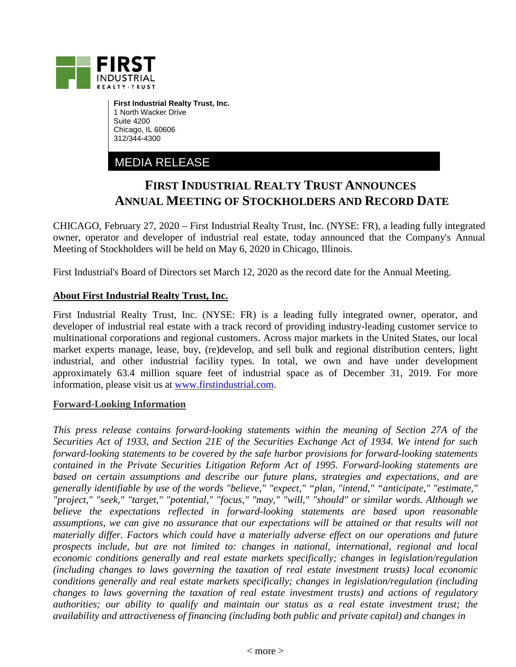

**First Industrial Realty Trust, Inc.** 1 North Wacker Drive Suite 4200 Chicago, IL 60606 312/344-4300

MEDIA RELEASE

## **FIRST INDUSTRIAL REALTY TRUST ANNOUNCES ANNUAL MEETING OF STOCKHOLDERS AND RECORD DATE**

CHICAGO, February 27, 2020 – First Industrial Realty Trust, Inc. (NYSE: FR), a leading fully integrated owner, operator and developer of industrial real estate, today announced that the Company's Annual Meeting of Stockholders will be held on May 6, 2020 in Chicago, Illinois.

First Industrial's Board of Directors set March 12, 2020 as the record date for the Annual Meeting.

## **About First Industrial Realty Trust, Inc.**

First Industrial Realty Trust, Inc. (NYSE: FR) is a leading fully integrated owner, operator, and developer of industrial real estate with a track record of providing industry-leading customer service to multinational corporations and regional customers. Across major markets in the United States, our local market experts manage, lease, buy, (re)develop, and sell bulk and regional distribution centers, light industrial, and other industrial facility types. In total, we own and have under development approximately 63.4 million square feet of industrial space as of December 31, 2019. For more information, please visit us at [www.firstindustrial.com.](http://www.firstindustrial.com/)

## **Forward-Looking Information**

*This press release contains forward-looking statements within the meaning of Section 27A of the Securities Act of 1933, and Section 21E of the Securities Exchange Act of 1934. We intend for such forward-looking statements to be covered by the safe harbor provisions for forward-looking statements contained in the Private Securities Litigation Reform Act of 1995. Forward-looking statements are based on certain assumptions and describe our future plans, strategies and expectations, and are generally identifiable by use of the words "believe," "expect," "plan, "intend," "anticipate," "estimate," "project," "seek," "target," "potential," "focus," "may," "will," "should" or similar words. Although we believe the expectations reflected in forward-looking statements are based upon reasonable*  assumptions, we can give no assurance that our expectations will be attained or that results will not *materially differ. Factors which could have a materially adverse effect on our operations and future prospects include, but are not limited to: changes in national, international, regional and local economic conditions generally and real estate markets specifically; changes in legislation/regulation (including changes to laws governing the taxation of real estate investment trusts) local economic conditions generally and real estate markets specifically; changes in legislation/regulation (including changes to laws governing the taxation of real estate investment trusts) and actions of regulatory authorities; our ability to qualify and maintain our status as a real estate investment trust; the availability and attractiveness of financing (including both public and private capital) and changes in*